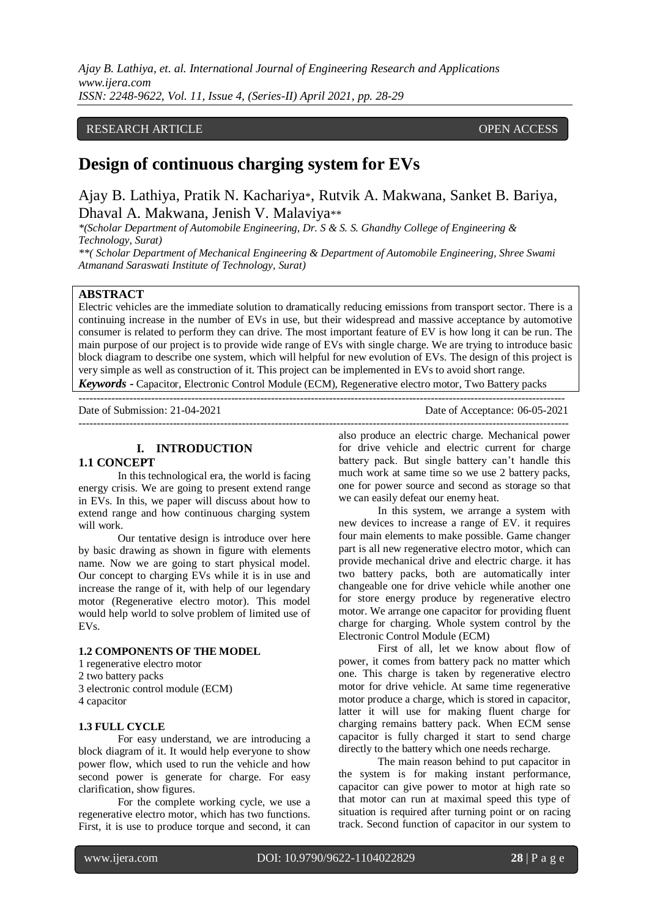*Ajay B. Lathiya, et. al. International Journal of Engineering Research and Applications www.ijera.com ISSN: 2248-9622, Vol. 11, Issue 4, (Series-II) April 2021, pp. 28-29*

## RESEARCH ARTICLE **CONSERVERS** OPEN ACCESS

# **Design of continuous charging system for EVs**

Ajay B. Lathiya, Pratik N. Kachariya\*, Rutvik A. Makwana, Sanket B. Bariya, Dhaval A. Makwana, Jenish V. Malaviya\*\*

*\*(Scholar Department of Automobile Engineering, Dr. S & S. S. Ghandhy College of Engineering & Technology, Surat)*

*\*\*( Scholar Department of Mechanical Engineering & Department of Automobile Engineering, Shree Swami Atmanand Saraswati Institute of Technology, Surat)*

## **ABSTRACT**

Electric vehicles are the immediate solution to dramatically reducing emissions from transport sector. There is a continuing increase in the number of EVs in use, but their widespread and massive acceptance by automotive consumer is related to perform they can drive. The most important feature of EV is how long it can be run. The main purpose of our project is to provide wide range of EVs with single charge. We are trying to introduce basic block diagram to describe one system, which will helpful for new evolution of EVs. The design of this project is very simple as well as construction of it. This project can be implemented in EVs to avoid short range.

*Keywords* **-** Capacitor, Electronic Control Module (ECM), Regenerative electro motor, Two Battery packs --------------------------------------------------------------------------------------------------------------------------------------

Date of Submission: 21-04-2021 Date of Acceptance: 06-05-2021

---------------------------------------------------------------------------------------------------------------------------------------

## **I. INTRODUCTION**

## **1.1 CONCEPT**

In this technological era, the world is facing energy crisis. We are going to present extend range in EVs. In this, we paper will discuss about how to extend range and how continuous charging system will work.

Our tentative design is introduce over here by basic drawing as shown in figure with elements name. Now we are going to start physical model. Our concept to charging EVs while it is in use and increase the range of it, with help of our legendary motor (Regenerative electro motor). This model would help world to solve problem of limited use of EVs.

#### **1.2 COMPONENTS OF THE MODEL**

- 1 regenerative electro motor
- 2 two battery packs
- 3 electronic control module (ECM)
- 4 capacitor

## **1.3 FULL CYCLE**

For easy understand, we are introducing a block diagram of it. It would help everyone to show power flow, which used to run the vehicle and how second power is generate for charge. For easy clarification, show figures.

For the complete working cycle, we use a regenerative electro motor, which has two functions. First, it is use to produce torque and second, it can

also produce an electric charge. Mechanical power for drive vehicle and electric current for charge battery pack. But single battery can't handle this much work at same time so we use 2 battery packs, one for power source and second as storage so that we can easily defeat our enemy heat.

In this system, we arrange a system with new devices to increase a range of EV. it requires four main elements to make possible. Game changer part is all new regenerative electro motor, which can provide mechanical drive and electric charge. it has two battery packs, both are automatically inter changeable one for drive vehicle while another one for store energy produce by regenerative electro motor. We arrange one capacitor for providing fluent charge for charging. Whole system control by the Electronic Control Module (ECM)

First of all, let we know about flow of power, it comes from battery pack no matter which one. This charge is taken by regenerative electro motor for drive vehicle. At same time regenerative motor produce a charge, which is stored in capacitor, latter it will use for making fluent charge for charging remains battery pack. When ECM sense capacitor is fully charged it start to send charge directly to the battery which one needs recharge.

The main reason behind to put capacitor in the system is for making instant performance, capacitor can give power to motor at high rate so that motor can run at maximal speed this type of situation is required after turning point or on racing track. Second function of capacitor in our system to